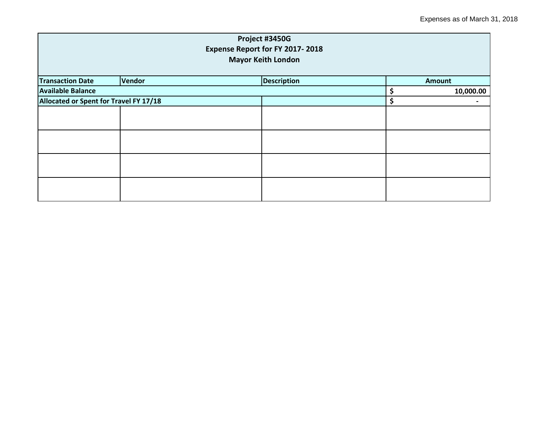|                                        |                              | Project #3450G                  |           |               |  |  |
|----------------------------------------|------------------------------|---------------------------------|-----------|---------------|--|--|
|                                        |                              | Expense Report for FY 2017-2018 |           |               |  |  |
|                                        | <b>Mayor Keith London</b>    |                                 |           |               |  |  |
| <b>Transaction Date</b>                | Vendor<br><b>Description</b> |                                 |           | <b>Amount</b> |  |  |
| <b>Available Balance</b>               |                              | \$                              | 10,000.00 |               |  |  |
| Allocated or Spent for Travel FY 17/18 |                              | \$                              |           |               |  |  |
|                                        |                              |                                 |           |               |  |  |
|                                        |                              |                                 |           |               |  |  |
|                                        |                              |                                 |           |               |  |  |
|                                        |                              |                                 |           |               |  |  |
|                                        |                              |                                 |           |               |  |  |
|                                        |                              |                                 |           |               |  |  |
|                                        |                              |                                 |           |               |  |  |
|                                        |                              |                                 |           |               |  |  |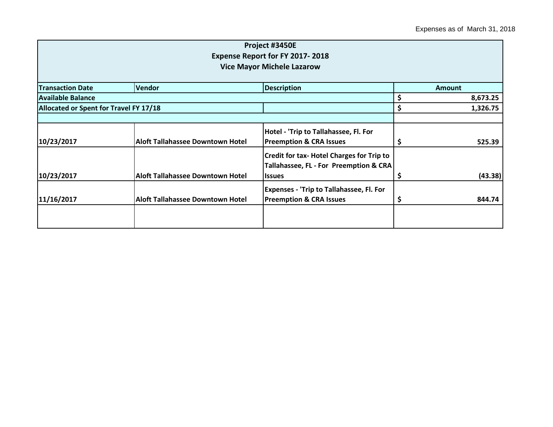|                                        |                                         | Project #3450E                                   |               |          |  |
|----------------------------------------|-----------------------------------------|--------------------------------------------------|---------------|----------|--|
|                                        |                                         | <b>Expense Report for FY 2017-2018</b>           |               |          |  |
|                                        |                                         | <b>Vice Mayor Michele Lazarow</b>                |               |          |  |
|                                        |                                         |                                                  |               |          |  |
| <b>Transaction Date</b>                | <b>Vendor</b>                           | <b>Description</b>                               | <b>Amount</b> |          |  |
| <b>Available Balance</b>               |                                         |                                                  | \$            | 8,673.25 |  |
| Allocated or Spent for Travel FY 17/18 |                                         |                                                  | \$            | 1,326.75 |  |
|                                        |                                         |                                                  |               |          |  |
|                                        |                                         | Hotel - 'Trip to Tallahassee, Fl. For            |               |          |  |
| 10/23/2017                             | <b>Aloft Tallahassee Downtown Hotel</b> | <b>Preemption &amp; CRA Issues</b>               | \$            | 525.39   |  |
|                                        |                                         | <b>Credit for tax- Hotel Charges for Trip to</b> |               |          |  |
|                                        |                                         | Tallahassee, FL - For Preemption & CRA           |               |          |  |
| 10/23/2017                             | <b>Aloft Tallahassee Downtown Hotel</b> | <b>Issues</b>                                    | \$            | (43.38)  |  |
|                                        |                                         | <b>Expenses - 'Trip to Tallahassee, Fl. For</b>  |               |          |  |
| 11/16/2017                             | <b>Aloft Tallahassee Downtown Hotel</b> | <b>Preemption &amp; CRA Issues</b>               | \$            | 844.74   |  |
|                                        |                                         |                                                  |               |          |  |
|                                        |                                         |                                                  |               |          |  |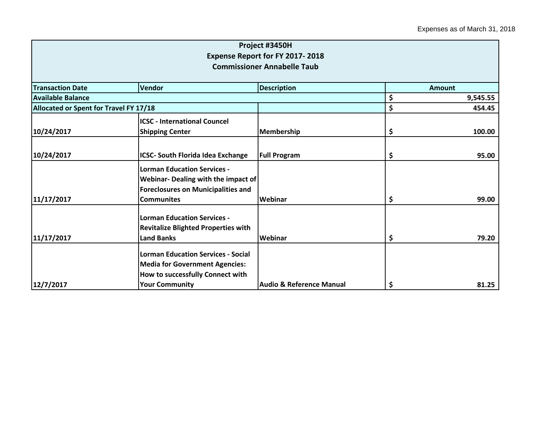|                                        |                                                                                                                                                 | Project #3450H                         |                |
|----------------------------------------|-------------------------------------------------------------------------------------------------------------------------------------------------|----------------------------------------|----------------|
|                                        |                                                                                                                                                 | <b>Expense Report for FY 2017-2018</b> |                |
|                                        |                                                                                                                                                 | <b>Commissioner Annabelle Taub</b>     |                |
| <b>Transaction Date</b>                | Vendor                                                                                                                                          | <b>Description</b>                     | <b>Amount</b>  |
| Available Balance                      |                                                                                                                                                 |                                        | \$<br>9,545.55 |
| Allocated or Spent for Travel FY 17/18 |                                                                                                                                                 |                                        | \$<br>454.45   |
|                                        | <b>ICSC - International Councel</b>                                                                                                             |                                        |                |
| 10/24/2017                             | <b>Shipping Center</b>                                                                                                                          | Membership                             | \$<br>100.00   |
| 10/24/2017                             | <b>ICSC- South Florida Idea Exchange</b>                                                                                                        | <b>Full Program</b>                    | \$<br>95.00    |
|                                        | <b>Lorman Education Services -</b><br>Webinar- Dealing with the impact of<br><b>Foreclosures on Municipalities and</b>                          |                                        |                |
| 11/17/2017                             | <b>Communites</b>                                                                                                                               | Webinar                                | \$<br>99.00    |
| 11/17/2017                             | <b>Lorman Education Services -</b><br><b>Revitalize Blighted Properties with</b><br><b>Land Banks</b>                                           | Webinar                                | \$<br>79.20    |
| 12/7/2017                              | <b>Lorman Education Services - Social</b><br><b>Media for Government Agencies:</b><br>How to successfully Connect with<br><b>Your Community</b> | <b>Audio &amp; Reference Manual</b>    | \$<br>81.25    |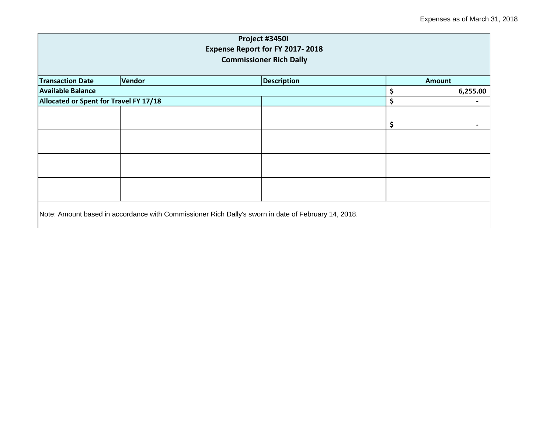| Project #3450I<br>Expense Report for FY 2017-2018<br><b>Commissioner Rich Dally</b> |        |                                                                                                     |    |               |
|-------------------------------------------------------------------------------------|--------|-----------------------------------------------------------------------------------------------------|----|---------------|
| <b>Transaction Date</b>                                                             | Vendor | <b>Description</b>                                                                                  |    | <b>Amount</b> |
| <b>Available Balance</b>                                                            |        |                                                                                                     | \$ | 6,255.00      |
| Allocated or Spent for Travel FY 17/18                                              |        |                                                                                                     | \$ |               |
|                                                                                     |        |                                                                                                     | \$ |               |
|                                                                                     |        |                                                                                                     |    |               |
|                                                                                     |        |                                                                                                     |    |               |
|                                                                                     |        |                                                                                                     |    |               |
|                                                                                     |        | Note: Amount based in accordance with Commissioner Rich Dally's sworn in date of February 14, 2018. |    |               |